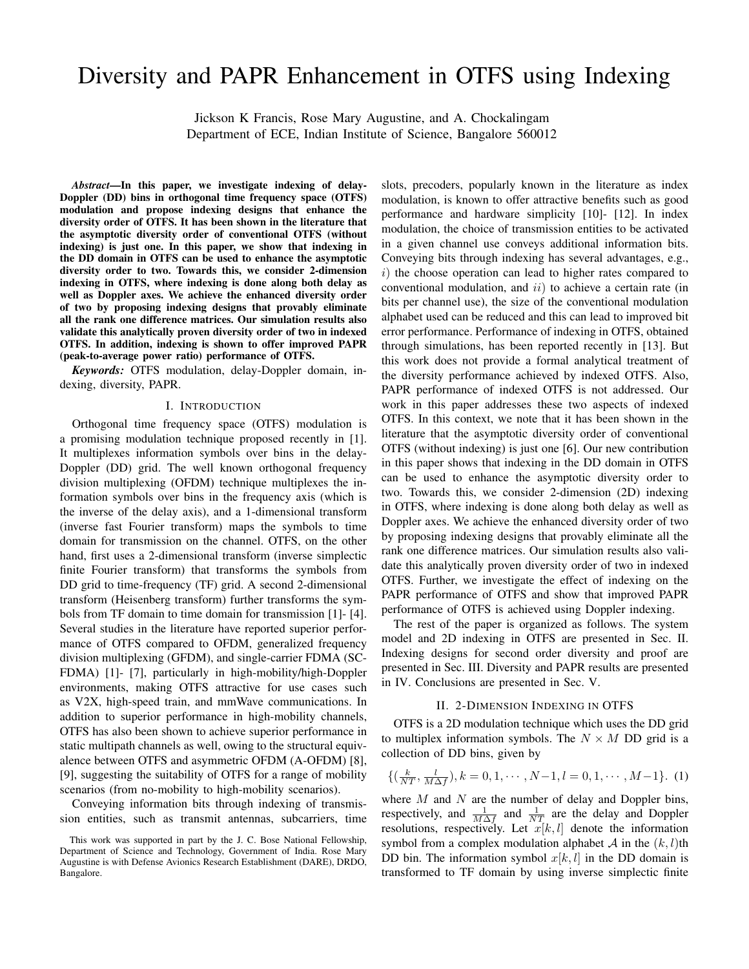# Diversity and PAPR Enhancement in OTFS using Indexing

Jickson K Francis, Rose Mary Augustine, and A. Chockalingam Department of ECE, Indian Institute of Science, Bangalore 560012

*Abstract*—In this paper, we investigate indexing of delay-Doppler (DD) bins in orthogonal time frequency space (OTFS) modulation and propose indexing designs that enhance the diversity order of OTFS. It has been shown in the literature that the asymptotic diversity order of conventional OTFS (without indexing) is just one. In this paper, we show that indexing in the DD domain in OTFS can be used to enhance the asymptotic diversity order to two. Towards this, we consider 2-dimension indexing in OTFS, where indexing is done along both delay as well as Doppler axes. We achieve the enhanced diversity order of two by proposing indexing designs that provably eliminate all the rank one difference matrices. Our simulation results also validate this analytically proven diversity order of two in indexed OTFS. In addition, indexing is shown to offer improved PAPR (peak-to-average power ratio) performance of OTFS.

*Keywords:* OTFS modulation, delay-Doppler domain, indexing, diversity, PAPR.

#### I. INTRODUCTION

Orthogonal time frequency space (OTFS) modulation is a promising modulation technique proposed recently in [1]. It multiplexes information symbols over bins in the delay-Doppler (DD) grid. The well known orthogonal frequency division multiplexing (OFDM) technique multiplexes the information symbols over bins in the frequency axis (which is the inverse of the delay axis), and a 1-dimensional transform (inverse fast Fourier transform) maps the symbols to time domain for transmission on the channel. OTFS, on the other hand, first uses a 2-dimensional transform (inverse simplectic finite Fourier transform) that transforms the symbols from DD grid to time-frequency (TF) grid. A second 2-dimensional transform (Heisenberg transform) further transforms the symbols from TF domain to time domain for transmission [1]- [4]. Several studies in the literature have reported superior performance of OTFS compared to OFDM, generalized frequency division multiplexing (GFDM), and single-carrier FDMA (SC-FDMA) [1]- [7], particularly in high-mobility/high-Doppler environments, making OTFS attractive for use cases such as V2X, high-speed train, and mmWave communications. In addition to superior performance in high-mobility channels, OTFS has also been shown to achieve superior performance in static multipath channels as well, owing to the structural equivalence between OTFS and asymmetric OFDM (A-OFDM) [8], [9], suggesting the suitability of OTFS for a range of mobility scenarios (from no-mobility to high-mobility scenarios).

Conveying information bits through indexing of transmission entities, such as transmit antennas, subcarriers, time slots, precoders, popularly known in the literature as index modulation, is known to offer attractive benefits such as good performance and hardware simplicity [10]- [12]. In index modulation, the choice of transmission entities to be activated in a given channel use conveys additional information bits. Conveying bits through indexing has several advantages, e.g.,  $i)$  the choose operation can lead to higher rates compared to conventional modulation, and  $ii)$  to achieve a certain rate (in bits per channel use), the size of the conventional modulation alphabet used can be reduced and this can lead to improved bit error performance. Performance of indexing in OTFS, obtained through simulations, has been reported recently in [13]. But this work does not provide a formal analytical treatment of the diversity performance achieved by indexed OTFS. Also, PAPR performance of indexed OTFS is not addressed. Our work in this paper addresses these two aspects of indexed OTFS. In this context, we note that it has been shown in the literature that the asymptotic diversity order of conventional OTFS (without indexing) is just one [6]. Our new contribution in this paper shows that indexing in the DD domain in OTFS can be used to enhance the asymptotic diversity order to two. Towards this, we consider 2-dimension (2D) indexing in OTFS, where indexing is done along both delay as well as Doppler axes. We achieve the enhanced diversity order of two by proposing indexing designs that provably eliminate all the rank one difference matrices. Our simulation results also validate this analytically proven diversity order of two in indexed OTFS. Further, we investigate the effect of indexing on the PAPR performance of OTFS and show that improved PAPR performance of OTFS is achieved using Doppler indexing.

The rest of the paper is organized as follows. The system model and 2D indexing in OTFS are presented in Sec. II. Indexing designs for second order diversity and proof are presented in Sec. III. Diversity and PAPR results are presented in IV. Conclusions are presented in Sec. V.

# II. 2-DIMENSION INDEXING IN OTFS

OTFS is a 2D modulation technique which uses the DD grid to multiplex information symbols. The  $N \times M$  DD grid is a collection of DD bins, given by

$$
\{(\frac{k}{NT}, \frac{l}{M\Delta f}), k = 0, 1, \cdots, N-1, l = 0, 1, \cdots, M-1\}.
$$
 (1)

where  $M$  and  $N$  are the number of delay and Doppler bins, respectively, and  $\frac{1}{M\Delta f}$  and  $\frac{1}{NT}$  are the delay and Doppler resolutions, respectively. Let  $x[k, l]$  denote the information symbol from a complex modulation alphabet  $A$  in the  $(k, l)$ th DD bin. The information symbol  $x[k, l]$  in the DD domain is transformed to TF domain by using inverse simplectic finite

This work was supported in part by the J. C. Bose National Fellowship, Department of Science and Technology, Government of India. Rose Mary Augustine is with Defense Avionics Research Establishment (DARE), DRDO, Bangalore.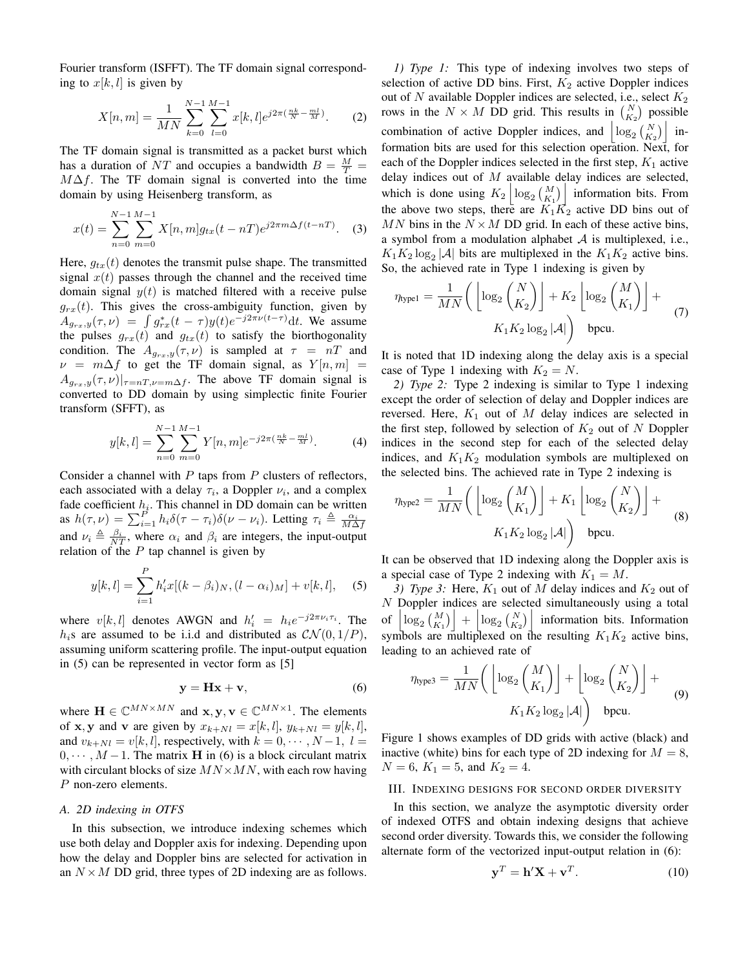Fourier transform (ISFFT). The TF domain signal corresponding to  $x[k, l]$  is given by

$$
X[n,m] = \frac{1}{MN} \sum_{k=0}^{N-1} \sum_{l=0}^{M-1} x[k,l] e^{j2\pi(\frac{nk}{N} - \frac{ml}{M})}.
$$
 (2)

The TF domain signal is transmitted as a packet burst which has a duration of NT and occupies a bandwidth  $B = \frac{M}{T}$  =  $M\Delta f$ . The TF domain signal is converted into the time domain by using Heisenberg transform, as

$$
x(t) = \sum_{n=0}^{N-1} \sum_{m=0}^{M-1} X[n, m] g_{tx}(t - n) e^{j2\pi m \Delta f (t - n)}.
$$
 (3)

Here,  $g_{tx}(t)$  denotes the transmit pulse shape. The transmitted signal  $x(t)$  passes through the channel and the received time domain signal  $y(t)$  is matched filtered with a receive pulse  $g_{rx}(t)$ . This gives the cross-ambiguity function, given by  $A_{g_{rx},y}(\tau,\nu) = \int g_{rx}^*(t-\tau)y(t)e^{-j2\pi\nu(t-\tau)}dt$ . We assume the pulses  $g_{rx}(t)$  and  $g_{tx}(t)$  to satisfy the biorthogonality condition. The  $A_{g_{rx},y}(\tau,\nu)$  is sampled at  $\tau = nT$  and  $\nu = m\Delta f$  to get the TF domain signal, as  $Y[n,m] =$  $A_{q_{rx},y}(\tau,\nu)|_{\tau=n}$ ,  $\sum_{\nu=m\Delta f}$ . The above TF domain signal is converted to DD domain by using simplectic finite Fourier transform (SFFT), as

$$
y[k,l] = \sum_{n=0}^{N-1} \sum_{m=0}^{M-1} Y[n,m] e^{-j2\pi (\frac{nk}{N} - \frac{ml}{M})}.
$$
 (4)

Consider a channel with  $P$  taps from  $P$  clusters of reflectors, each associated with a delay  $\tau_i$ , a Doppler  $\nu_i$ , and a complex fade coefficient  $h_i$ . This channel in DD domain can be written as  $h(\tau,\nu) = \sum_{i=1}^{P} h_i \delta(\tau-\tau_i) \delta(\nu-\nu_i)$ . Letting  $\tau_i \triangleq \frac{\alpha_i}{M\Delta f}$ and  $\nu_i \triangleq \frac{\beta_i}{NT}$ , where  $\alpha_i$  and  $\beta_i$  are integers, the input-output relation of the  $P$  tap channel is given by

$$
y[k, l] = \sum_{i=1}^{P} h'_i x[(k - \beta_i)_N, (l - \alpha_i)_M] + v[k, l], \quad (5)
$$

where  $v[k, l]$  denotes AWGN and  $h'_i = h_i e^{-j2\pi \nu_i \tau_i}$ . The  $h_i$ s are assumed to be i.i.d and distributed as  $CN(0, 1/P)$ , assuming uniform scattering profile. The input-output equation in (5) can be represented in vector form as [5]

$$
y = Hx + v,\t\t(6)
$$

where  $\mathbf{H} \in \mathbb{C}^{MN \times MN}$  and  $\mathbf{x}, \mathbf{y}, \mathbf{v} \in \mathbb{C}^{MN \times 1}$ . The elements of **x**, **y** and **v** are given by  $x_{k+Nl} = x[k, l], y_{k+Nl} = y[k, l],$ and  $v_{k+Nl} = v[k, l]$ , respectively, with  $k = 0, \dots, N-1, l =$  $0, \dots, M-1$ . The matrix **H** in (6) is a block circulant matrix with circulant blocks of size  $MN \times MN$ , with each row having P non-zero elements.

# *A. 2D indexing in OTFS*

In this subsection, we introduce indexing schemes which use both delay and Doppler axis for indexing. Depending upon how the delay and Doppler bins are selected for activation in an  $N \times M$  DD grid, three types of 2D indexing are as follows.

*1) Type 1:* This type of indexing involves two steps of selection of active DD bins. First,  $K_2$  active Doppler indices out of  $N$  available Doppler indices are selected, i.e., select  $K_2$ rows in the  $N \times M$  DD grid. This results in  $\binom{N}{K_2}$  possible combination of active Doppler indices, and  $\left|\log_2\left(\frac{N}{K_2}\right)\right|$  information bits are used for this selection operation. Next, for each of the Doppler indices selected in the first step,  $K_1$  active delay indices out of  $M$  available delay indices are selected, which is done using  $K_2 \left| \log_2 {\binom{M}{K_1}} \right|$  information bits. From the above two steps, there are  $K_1K_2$  active DD bins out of MN bins in the  $N \times M$  DD grid. In each of these active bins, a symbol from a modulation alphabet  $A$  is multiplexed, i.e.,  $K_1K_2 \log_2 |\mathcal{A}|$  bits are multiplexed in the  $K_1K_2$  active bins. So, the achieved rate in Type 1 indexing is given by

$$
\eta_{\text{type1}} = \frac{1}{MN} \left( \left[ \log_2 \binom{N}{K_2} \right] + K_2 \left[ \log_2 \binom{M}{K_1} \right] + K_1 K_2 \log_2 |\mathcal{A}| \right)
$$
\n
$$
K_1 K_2 \log_2 |\mathcal{A}| \right) \text{ bpcu.}
$$
\n(7)

It is noted that 1D indexing along the delay axis is a special case of Type 1 indexing with  $K_2 = N$ .

*2) Type 2:* Type 2 indexing is similar to Type 1 indexing except the order of selection of delay and Doppler indices are reversed. Here,  $K_1$  out of  $M$  delay indices are selected in the first step, followed by selection of  $K_2$  out of N Doppler indices in the second step for each of the selected delay indices, and  $K_1K_2$  modulation symbols are multiplexed on the selected bins. The achieved rate in Type 2 indexing is

$$
\eta_{\text{type2}} = \frac{1}{MN} \left( \left[ \log_2 \binom{M}{K_1} \right] + K_1 \left[ \log_2 \binom{N}{K_2} \right] + K_1 K_2 \log_2 |\mathcal{A}| \right)
$$
\n
$$
K_1 K_2 \log_2 |\mathcal{A}| \right) \quad \text{bpcu.}
$$
\n(8)

It can be observed that 1D indexing along the Doppler axis is a special case of Type 2 indexing with  $K_1 = M$ .

*3) Type 3:* Here,  $K_1$  out of M delay indices and  $K_2$  out of N Doppler indices are selected simultaneously using a total of  $\left| \log_2 {M \choose K_1} \right| + \left| \log_2 {N \choose K_2} \right|$  information bits. Information symbols are multiplexed on the resulting  $K_1K_2$  active bins, leading to an achieved rate of

$$
\eta_{\text{type3}} = \frac{1}{MN} \bigg( \left[ \log_2 \binom{M}{K_1} \right] + \left[ \log_2 \binom{N}{K_2} \right] + \text{(9)}
$$
\n
$$
K_1 K_2 \log_2 |\mathcal{A}| \bigg) \quad \text{bpcu.}
$$

Figure 1 shows examples of DD grids with active (black) and inactive (white) bins for each type of 2D indexing for  $M = 8$ ,  $N = 6$ ,  $K_1 = 5$ , and  $K_2 = 4$ .

### III. INDEXING DESIGNS FOR SECOND ORDER DIVERSITY

In this section, we analyze the asymptotic diversity order of indexed OTFS and obtain indexing designs that achieve second order diversity. Towards this, we consider the following alternate form of the vectorized input-output relation in (6):

$$
\mathbf{y}^T = \mathbf{h}'\mathbf{X} + \mathbf{v}^T.
$$
 (10)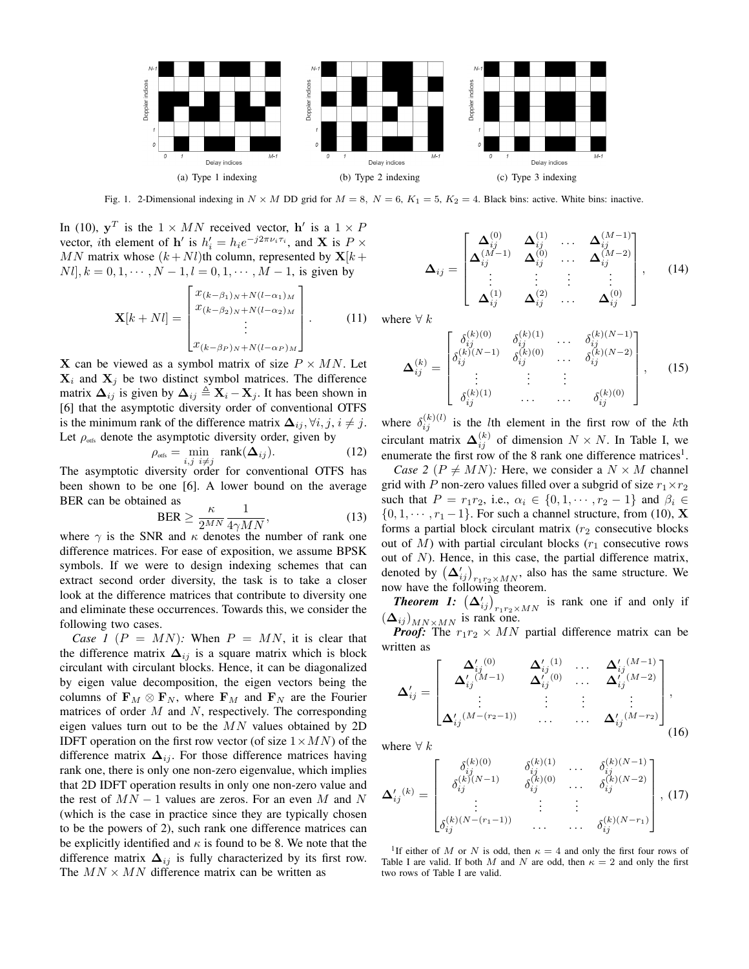

Fig. 1. 2-Dimensional indexing in  $N \times M$  DD grid for  $M = 8$ ,  $N = 6$ ,  $K_1 = 5$ ,  $K_2 = 4$ . Black bins: active. White bins: inactive.

In (10),  $y^T$  is the  $1 \times MN$  received vector, h' is a  $1 \times P$ vector, *i*th element of **h**' is  $h'_i = h_i e^{-j2\pi \nu_i \tau_i}$ , and **X** is  $P \times$ MN matrix whose  $(k + Nl)$ th column, represented by  $X[k +$  $Nl, k = 0, 1, \cdots, N - 1, l = 0, 1, \cdots, M - 1$ , is given by

$$
\mathbf{X}[k+N l] = \begin{bmatrix} x_{(k-\beta_1)_N+N(l-\alpha_1)_M} \\ x_{(k-\beta_2)_N+N(l-\alpha_2)_M} \\ \vdots \\ x_{(k-\beta_P)_N+N(l-\alpha_P)_M} \end{bmatrix} . \tag{11}
$$

**X** can be viewed as a symbol matrix of size  $P \times MN$ . Let  $X_i$  and  $X_j$  be two distinct symbol matrices. The difference matrix  $\Delta_{ij}$  is given by  $\Delta_{ij} \triangleq \mathbf{X}_i - \mathbf{X}_j$ . It has been shown in [6] that the asymptotic diversity order of conventional OTFS is the minimum rank of the difference matrix  $\Delta_{ij}$ ,  $\forall i, j, i \neq j$ . Let  $\rho_{\text{obs}}$  denote the asymptotic diversity order, given by

$$
\rho_{\text{offs}} = \min_{i,j} \text{rank}(\Delta_{ij}). \tag{12}
$$

The asymptotic diversity order for conventional OTFS has been shown to be one [6]. A lower bound on the average BER can be obtained as

$$
\text{BER} \ge \frac{\kappa}{2^{MN}} \frac{1}{4\gamma MN},\tag{13}
$$

where  $\gamma$  is the SNR and  $\kappa$  denotes the number of rank one difference matrices. For ease of exposition, we assume BPSK symbols. If we were to design indexing schemes that can extract second order diversity, the task is to take a closer look at the difference matrices that contribute to diversity one and eliminate these occurrences. Towards this, we consider the following two cases.

*Case 1* ( $P = MN$ ): When  $P = MN$ , it is clear that the difference matrix  $\Delta_{ij}$  is a square matrix which is block circulant with circulant blocks. Hence, it can be diagonalized by eigen value decomposition, the eigen vectors being the columns of  $\mathbf{F}_M \otimes \mathbf{F}_N$ , where  $\mathbf{F}_M$  and  $\mathbf{F}_N$  are the Fourier matrices of order  $M$  and  $N$ , respectively. The corresponding eigen values turn out to be the  $MN$  values obtained by 2D IDFT operation on the first row vector (of size  $1 \times MN$ ) of the difference matrix  $\Delta_{ij}$ . For those difference matrices having rank one, there is only one non-zero eigenvalue, which implies that 2D IDFT operation results in only one non-zero value and the rest of  $MN - 1$  values are zeros. For an even M and N (which is the case in practice since they are typically chosen to be the powers of 2), such rank one difference matrices can be explicitly identified and  $\kappa$  is found to be 8. We note that the difference matrix  $\Delta_{ij}$  is fully characterized by its first row. The  $MN \times MN$  difference matrix can be written as

$$
\mathbf{\Delta}_{ij} = \begin{bmatrix} \mathbf{\Delta}_{ij}^{(0)} & \mathbf{\Delta}_{ij}^{(1)} & \dots & \mathbf{\Delta}_{ij}^{(M-1)} \\ \mathbf{\Delta}_{ij}^{(M-1)} & \mathbf{\Delta}_{ij}^{(0)} & \dots & \mathbf{\Delta}_{ij}^{(M-2)} \\ \vdots & \vdots & \vdots & \vdots \\ \mathbf{\Delta}_{ij}^{(1)} & \mathbf{\Delta}_{ij}^{(2)} & \dots & \mathbf{\Delta}_{ij}^{(0)} \end{bmatrix}, \quad (14)
$$

vhere  $\forall k$ 

$$
\mathbf{\Delta}_{ij}^{(k)} = \begin{bmatrix} \delta_{ij}^{(k)(0)} & \delta_{ij}^{(k)(1)} & \dots & \delta_{ij}^{(k)(N-1)} \\ \delta_{ij}^{(k)(N-1)} & \delta_{ij}^{(k)(0)} & \dots & \delta_{ij}^{(k)(N-2)} \\ \vdots & \vdots & \vdots & \vdots \\ \delta_{ij}^{(k)(1)} & \dots & \dots & \delta_{ij}^{(k)(0)} \end{bmatrix}, \quad (15)
$$

where  $\delta_{ij}^{(k)(l)}$  is the *l*th element in the first row of the *k*th circulant matrix  $\mathbf{\Delta}_{ij}^{(k)}$  of dimension  $N \times N$ . In Table I, we enumerate the first row of the 8 rank one difference matrices<sup>1</sup>.

*Case 2* ( $P \neq MN$ ): Here, we consider a  $N \times M$  channel grid with P non-zero values filled over a subgrid of size  $r_1 \times r_2$ such that  $P = r_1r_2$ , i.e.,  $\alpha_i \in \{0, 1, \dots, r_2 - 1\}$  and  $\beta_i \in$  $\{0, 1, \dots, r_1 - 1\}$ . For such a channel structure, from (10), **X** forms a partial block circulant matrix  $(r_2)$  consecutive blocks out of  $M$ ) with partial circulant blocks ( $r_1$  consecutive rows out of  $N$ ). Hence, in this case, the partial difference matrix, denoted by  $(\Delta'_{ij})_{r_1r_2 \times MN}$ , also has the same structure. We now have the following theorem.

**Theorem 1:**  $(\Delta'_{ij})_{r_1r_2 \times MN}$  is rank one if and only if  $(\Delta_{ij})_{MN\times MN}$  is rank one.

*Proof:* The  $r_1r_2 \times MN$  partial difference matrix can be written as

$$
\Delta'_{ij} = \begin{bmatrix}\n\Delta'_{ij}^{(0)} & \Delta'_{ij}^{(1)} & \cdots & \Delta'_{ij}^{(M-1)} \\
\Delta'_{ij}^{(M-1)} & \Delta'_{ij}^{(0)} & \cdots & \Delta'_{ij}^{(M-2)} \\
\vdots & \vdots & \vdots & \vdots \\
\Delta'_{ij}^{(M-(r_2-1))} & \cdots & \Delta'_{ij}^{(M-r_2)}\n\end{bmatrix},
$$
\n(16)

where  $\forall k$ 

$$
\mathbf{\Delta'}_{ij}^{(k)} = \begin{bmatrix} \delta_{ij}^{(k)(0)} & \delta_{ij}^{(k)(1)} & \cdots & \delta_{ij}^{(k)(N-1)} \\ \delta_{ij}^{(k)(N-1)} & \delta_{ij}^{(k)(0)} & \cdots & \delta_{ij}^{(k)(N-2)} \\ \vdots & \vdots & \vdots & \vdots \\ \delta_{ij}^{(k)(N-(r_1-1))} & \cdots & \cdots & \delta_{ij}^{(k)(N-r_1)} \end{bmatrix}, (17)
$$

<sup>1</sup>If either of M or N is odd, then  $\kappa = 4$  and only the first four rows of Table I are valid. If both M and N are odd, then  $\kappa = 2$  and only the first two rows of Table I are valid.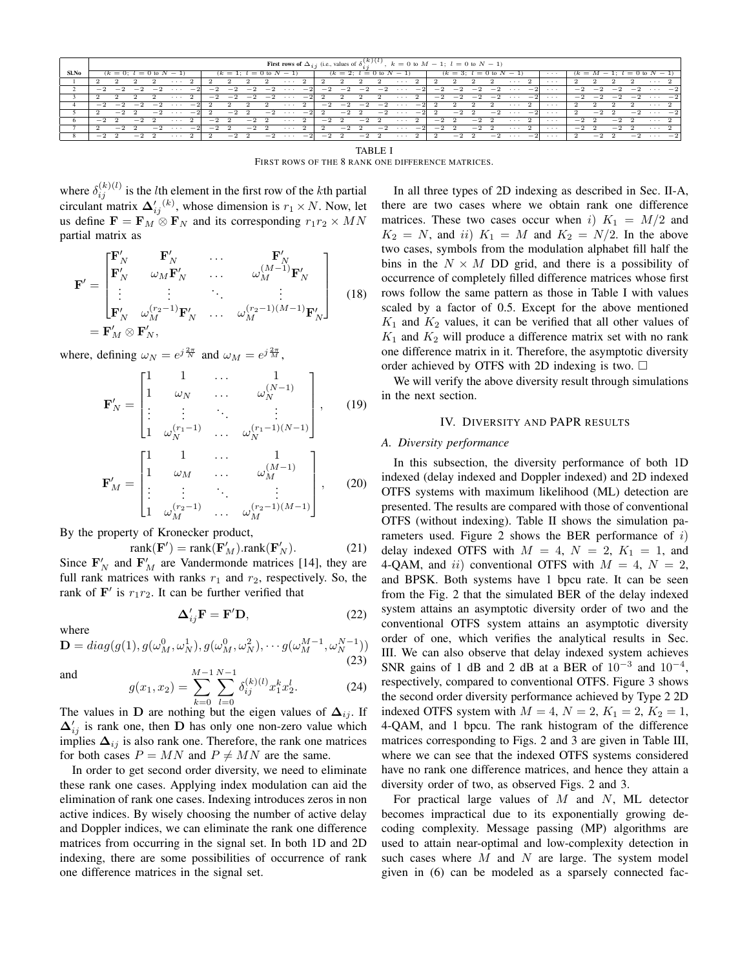|       | <b>First rows of</b> $\Delta_{i,i}$ (i.e., values of $\delta_{i,i}^{(k)}(l)$ , $k = 0$ to $M - 1$ ; $l = 0$ to $N - 1$ ) |           |      |      |          |                          |      |      |      |      |                             |                |        |        |             |      |                             |                |           |      |           |      |                                |  |          |      |           |      |      |                           |  |
|-------|--------------------------------------------------------------------------------------------------------------------------|-----------|------|------|----------|--------------------------|------|------|------|------|-----------------------------|----------------|--------|--------|-------------|------|-----------------------------|----------------|-----------|------|-----------|------|--------------------------------|--|----------|------|-----------|------|------|---------------------------|--|
| Sl.No | $(k = 0; l = 0$ to $N - 1$                                                                                               |           |      |      |          | $(k = 1; l = 0$ to $N -$ |      |      |      |      | $(k = 2; l = 0$ to N<br>- 1 |                |        |        |             |      | $(k = 3; l = 0$ to $N - 1$  |                |           |      |           | .    | $(k = M)$<br>$= 0$ to<br>$-11$ |  |          |      |           |      |      |                           |  |
|       |                                                                                                                          |           |      |      |          |                          |      |      |      |      |                             |                |        |        |             |      |                             |                |           |      |           |      | $\cdots$ 2                     |  | .        |      |           |      |      | $\cdots$                  |  |
|       |                                                                                                                          | $-2$ $-2$ | $-2$ | $-2$ |          | $-21$                    | $-2$ | $-2$ | $-2$ | $-2$ | $\cdots$                    | $-2$           | $-2$   | $-2$ - | $^{-2}$     | $-2$ | $\sim$ $\sim$ $\sim$ $\sim$ | $-21$          | $-2$      | $-2$ | $-2$      |      | $-2 \cdot \cdot \cdot -2$      |  | $\cdots$ | $-2$ | $-2$      | $-2$ |      | $-2 \cdot \cdot \cdot -2$ |  |
|       |                                                                                                                          |           |      |      | .        |                          | $-2$ | $-2$ | $-2$ |      | $-2$                        | $-2$           |        |        |             |      | $\sim$ $\sim$ $\sim$        | $\overline{2}$ | $-2$      | $-2$ | $-2$      |      | $-2 \cdot \cdot \cdot -2$      |  | $\cdots$ | $-2$ | $-2$      | $-2$ | $-2$ | $\cdots$ $-2$             |  |
|       | $-2$                                                                                                                     |           | $-2$ | $-2$ |          |                          |      |      |      |      | .                           |                | $-2$   | $-2$   | $-2$        | $-2$ |                             | $\sim$         |           |      |           |      | .                              |  | .        |      |           |      |      | $\cdots$                  |  |
|       |                                                                                                                          | $-2$      |      | $-2$ |          | $-2$                     |      | $-2$ |      | $-2$ | $\sim$ $\sim$ $\sim$        | $-2$           |        | $-2$   |             | $-2$ | $\cdots$                    | $-2$           |           | $-2$ |           | $-2$ | $\cdots$ $-21$                 |  | .        |      | $-2$      |      | $-2$ | $\cdots$ $-2$             |  |
| 6     | $-2$                                                                                                                     |           | $-2$ |      | .        |                          | $-2$ |      | $-2$ |      | $\cdots$                    | 2              | $-2$   |        | $-2 \t 2$   |      | $\sim$ $\sim$ $\sim$        | -2             | $-2 \t 2$ |      | $-2$      |      | $\cdots$ 2                     |  | .        | $-2$ |           | $-2$ |      | $\cdots$ 2                |  |
|       |                                                                                                                          | $-2$      |      | $-2$ | $\cdots$ | $-2$                     | $-2$ |      | $-2$ |      | $\cdots$                    | $\overline{2}$ |        | $-2$   |             | $-2$ | $\cdots$ $-21$              |                | $-2$      |      | $-2 \t 2$ |      | $\cdots$ 2                     |  | .        | $-2$ |           | $-2$ |      | $\cdots$ 2                |  |
| 8     | $-2$                                                                                                                     |           | $-2$ |      | .        |                          |      | $-2$ |      |      | $-2 \cdot \cdot \cdot -2$   |                | $-2$ 2 |        | $-2\quad 2$ |      | $\cdots$ 2                  |                |           | $-2$ |           |      | $-2 \cdot \cdot \cdot -2$      |  | $\cdots$ | 2    | $-2 \t 2$ |      |      | $-2 \cdot \cdot \cdot -2$ |  |

**TABLE I** FIRST ROWS OF THE 8 RANK ONE DIFFERENCE MATRICES.

where  $\delta_{ij}^{(k)(l)}$  is the *l*th element in the first row of the *k*th partial circulant matrix  $\Delta'_{ij}^{(k)}$ , whose dimension is  $r_1 \times N$ . Now, let us define  $\mathbf{F} = \mathbf{F}_M \otimes \mathbf{F}_N$  and its corresponding  $r_1r_2 \times MN$ partial matrix as

$$
\mathbf{F}' = \begin{bmatrix} \mathbf{F}'_{N} & \mathbf{F}'_{N} & \cdots & \mathbf{F}'_{N} \\ \mathbf{F}'_{N} & \omega_{M} \mathbf{F}'_{N} & \cdots & \omega_{M}^{(M-1)} \mathbf{F}'_{N} \\ \vdots & \vdots & \ddots & \vdots \\ \mathbf{F}'_{N} & \omega_{M}^{(r_{2}-1)} \mathbf{F}'_{N} & \cdots & \omega_{M}^{(r_{2}-1)(M-1)} \mathbf{F}'_{N} \end{bmatrix}
$$
(18)  

$$
= \mathbf{F}'_{M} \otimes \mathbf{F}'_{N},
$$

where, defining  $\omega_N = e^{j\frac{2\pi}{N}}$  and  $\omega_M = e^{j\frac{2\pi}{M}}$ ,

$$
\mathbf{F}'_{N} = \begin{bmatrix} 1 & 1 & \cdots & 1 \\ 1 & \omega_{N} & \cdots & \omega_{N}^{(N-1)} \\ \vdots & \vdots & \ddots & \vdots \\ 1 & \omega_{N}^{(r_{1}-1)} & \cdots & \omega_{N}^{(r_{1}-1)(N-1)} \end{bmatrix}, \qquad (19)
$$

$$
\mathbf{F}'_{M} = \begin{bmatrix} 1 & 1 & \cdots & 1 \\ 1 & \omega_{M} & \cdots & \omega_{M}^{(M-1)} \\ \vdots & \vdots & \ddots & \vdots \\ 1 & \omega_{M}^{(r_{2}-1)} & \cdots & \omega_{M}^{(r_{2}-1)(M-1)} \end{bmatrix}, \qquad (20)
$$

By the property of Kronecker product,

 $\overline{\mathcal{L}}$ 

$$
ank(\mathbf{F}') = rank(\mathbf{F}'_M).rank(\mathbf{F}'_N). \tag{21}
$$

Since  $\mathbf{F}_N'$  and  $\mathbf{F}_M'$  are Vandermonde matrices [14], they are full rank matrices with ranks  $r_1$  and  $r_2$ , respectively. So, the rank of  $\mathbf{F}'$  is  $r_1r_2$ . It can be further verified that

$$
\Delta'_{ij}\mathbf{F} = \mathbf{F}'\mathbf{D},\tag{22}
$$

where

$$
\mathbf{D} = diag(g(1), g(\omega_M^0, \omega_N^1), g(\omega_M^0, \omega_N^2), \cdots g(\omega_M^{M-1}, \omega_N^{N-1}))
$$
\n(23)

and

$$
g(x_1, x_2) = \sum_{k=0}^{M-1} \sum_{l=0}^{N-1} \delta_{ij}^{(k)(l)} x_1^k x_2^l.
$$
 (24)

The values in D are nothing but the eigen values of  $\Delta_{ij}$ . If  $\Delta'_{ij}$  is rank one, then D has only one non-zero value which implies  $\Delta_{ij}$  is also rank one. Therefore, the rank one matrices for both cases  $P = MN$  and  $P \neq MN$  are the same.

In order to get second order diversity, we need to eliminate these rank one cases. Applying index modulation can aid the elimination of rank one cases. Indexing introduces zeros in non active indices. By wisely choosing the number of active delay and Doppler indices, we can eliminate the rank one difference matrices from occurring in the signal set. In both 1D and 2D indexing, there are some possibilities of occurrence of rank one difference matrices in the signal set.

In all three types of 2D indexing as described in Sec. II-A, there are two cases where we obtain rank one difference matrices. These two cases occur when i)  $K_1 = M/2$  and  $K_2 = N$ , and ii)  $K_1 = M$  and  $K_2 = N/2$ . In the above two cases, symbols from the modulation alphabet fill half the bins in the  $N \times M$  DD grid, and there is a possibility of occurrence of completely filled difference matrices whose first rows follow the same pattern as those in Table I with values scaled by a factor of 0.5. Except for the above mentioned  $K_1$  and  $K_2$  values, it can be verified that all other values of  $K_1$  and  $K_2$  will produce a difference matrix set with no rank one difference matrix in it. Therefore, the asymptotic diversity order achieved by OTFS with 2D indexing is two.  $\square$ 

We will verify the above diversity result through simulations in the next section.

### IV. DIVERSITY AND PAPR RESULTS

# A. Diversity performance

In this subsection, the diversity performance of both 1D indexed (delay indexed and Doppler indexed) and 2D indexed OTFS systems with maximum likelihood (ML) detection are presented. The results are compared with those of conventional OTFS (without indexing). Table II shows the simulation parameters used. Figure 2 shows the BER performance of  $i$ ) delay indexed OTFS with  $M = 4$ ,  $N = 2$ ,  $K_1 = 1$ , and 4-QAM, and ii) conventional OTFS with  $M = 4$ ,  $N = 2$ , and BPSK. Both systems have 1 bpcu rate. It can be seen from the Fig. 2 that the simulated BER of the delay indexed system attains an asymptotic diversity order of two and the conventional OTFS system attains an asymptotic diversity order of one, which verifies the analytical results in Sec. III. We can also observe that delay indexed system achieves SNR gains of 1 dB and 2 dB at a BER of  $10^{-3}$  and  $10^{-4}$ , respectively, compared to conventional OTFS. Figure 3 shows the second order diversity performance achieved by Type 2 2D indexed OTFS system with  $M = 4$ ,  $N = 2$ ,  $K_1 = 2$ ,  $K_2 = 1$ , 4-QAM, and 1 bpcu. The rank histogram of the difference matrices corresponding to Figs. 2 and 3 are given in Table III, where we can see that the indexed OTFS systems considered have no rank one difference matrices, and hence they attain a diversity order of two, as observed Figs. 2 and 3.

For practical large values of  $M$  and  $N$ , ML detector becomes impractical due to its exponentially growing decoding complexity. Message passing (MP) algorithms are used to attain near-optimal and low-complexity detection in such cases where  $M$  and  $N$  are large. The system model given in (6) can be modeled as a sparsely connected fac-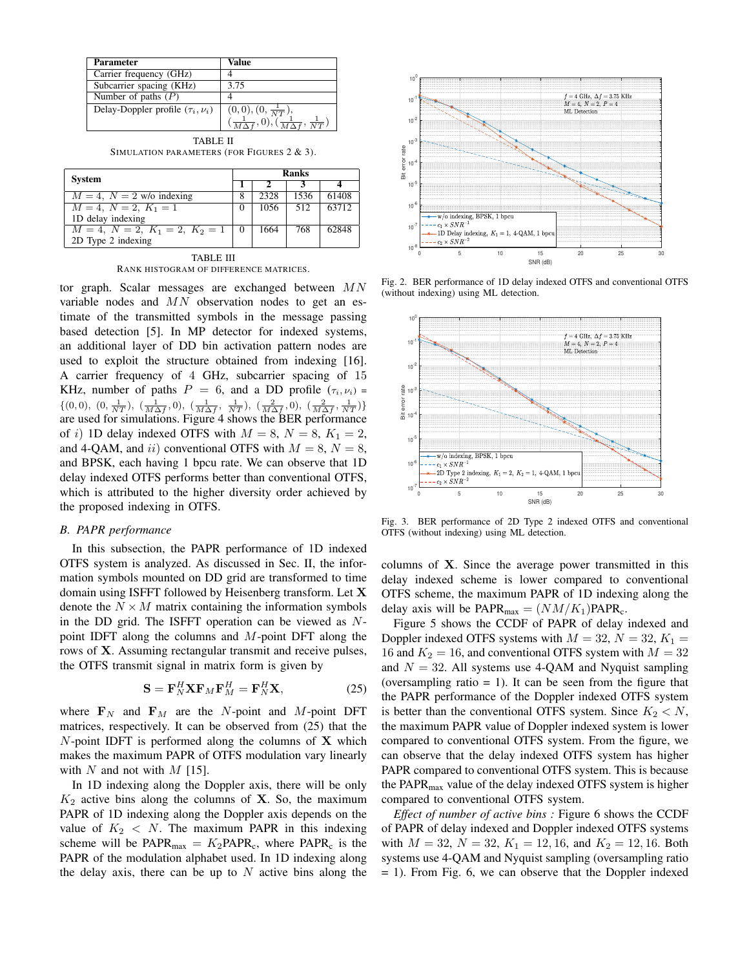| <b>Parameter</b>                        | Value                                                        |
|-----------------------------------------|--------------------------------------------------------------|
| Carrier frequency (GHz)                 |                                                              |
| Subcarrier spacing (KHz)                | 3.75                                                         |
| Number of paths $(P)$                   |                                                              |
| Delay-Doppler profile $(\tau_i, \nu_i)$ | $(0,0), (0, \frac{1}{NT}),$                                  |
|                                         | $(\frac{1}{M\Delta f},0),(\frac{1}{M\Delta f},\frac{1}{NT})$ |

TABLE II SIMULATION PARAMETERS (FOR FIGURES 2 & 3).

| <b>System</b>                    | Ranks  |      |      |       |  |  |  |  |  |
|----------------------------------|--------|------|------|-------|--|--|--|--|--|
|                                  |        |      |      |       |  |  |  |  |  |
| $M = 4$ , $N = 2$ w/o indexing   |        | 2328 | 1536 | 61408 |  |  |  |  |  |
| $M = 4, N = 2, K_1 = 1$          | $_{0}$ | 1056 | 512  | 63712 |  |  |  |  |  |
| 1D delay indexing                |        |      |      |       |  |  |  |  |  |
| $M = 4, N = 2, K_1 = 2, K_2 = 1$ |        | 1664 | 768  | 62848 |  |  |  |  |  |
| 2D Type 2 indexing               |        |      |      |       |  |  |  |  |  |

TABLE III RANK HISTOGRAM OF DIFFERENCE MATRICES.

tor graph. Scalar messages are exchanged between  $MN$ variable nodes and MN observation nodes to get an estimate of the transmitted symbols in the message passing based detection [5]. In MP detector for indexed systems, an additional layer of DD bin activation pattern nodes are used to exploit the structure obtained from indexing [16]. A carrier frequency of 4 GHz, subcarrier spacing of 15 KHz, number of paths  $P = 6$ , and a DD profile  $(\tau_i, \nu_i)$  $\{(0,0), (0, \frac{1}{NT}), (\frac{1}{M\Delta f}, 0), (\frac{1}{M\Delta f}, \frac{1}{NT}), (\frac{2}{M\Delta f}, 0), (\frac{2}{M\Delta f}, \frac{1}{NT})\}$ are used for simulations. Figure 4 shows the BER performance of i) 1D delay indexed OTFS with  $M = 8$ ,  $N = 8$ ,  $K_1 = 2$ , and 4-QAM, and ii) conventional OTFS with  $M = 8$ ,  $N = 8$ , and BPSK, each having 1 bpcu rate. We can observe that 1D delay indexed OTFS performs better than conventional OTFS, which is attributed to the higher diversity order achieved by the proposed indexing in OTFS.

# *B. PAPR performance*

In this subsection, the PAPR performance of 1D indexed OTFS system is analyzed. As discussed in Sec. II, the information symbols mounted on DD grid are transformed to time domain using ISFFT followed by Heisenberg transform. Let X denote the  $N \times M$  matrix containing the information symbols in the DD grid. The ISFFT operation can be viewed as  $N$ point IDFT along the columns and M-point DFT along the rows of X. Assuming rectangular transmit and receive pulses, the OTFS transmit signal in matrix form is given by

$$
\mathbf{S} = \mathbf{F}_N^H \mathbf{X} \mathbf{F}_M \mathbf{F}_M^H = \mathbf{F}_N^H \mathbf{X},\tag{25}
$$

where  $\mathbf{F}_N$  and  $\mathbf{F}_M$  are the N-point and M-point DFT matrices, respectively. It can be observed from (25) that the  $N$ -point IDFT is performed along the columns of  $X$  which makes the maximum PAPR of OTFS modulation vary linearly with N and not with  $M$  [15].

In 1D indexing along the Doppler axis, there will be only  $K_2$  active bins along the columns of **X**. So, the maximum PAPR of 1D indexing along the Doppler axis depends on the value of  $K_2 < N$ . The maximum PAPR in this indexing scheme will be  $PAPR_{max} = K_2PAPR_c$ , where  $PAPR_c$  is the PAPR of the modulation alphabet used. In 1D indexing along the delay axis, there can be up to  $N$  active bins along the



Fig. 2. BER performance of 1D delay indexed OTFS and conventional OTFS (without indexing) using ML detection.



Fig. 3. BER performance of 2D Type 2 indexed OTFS and conventional OTFS (without indexing) using ML detection.

columns of X. Since the average power transmitted in this delay indexed scheme is lower compared to conventional OTFS scheme, the maximum PAPR of 1D indexing along the delay axis will be  $\text{PAPR}_{\text{max}} = (NM/K_1)\text{PAPR}_{\text{c}}$ .

Figure 5 shows the CCDF of PAPR of delay indexed and Doppler indexed OTFS systems with  $M = 32$ ,  $N = 32$ ,  $K_1 =$ 16 and  $K_2 = 16$ , and conventional OTFS system with  $M = 32$ and  $N = 32$ . All systems use 4-QAM and Nyquist sampling (oversampling ratio  $= 1$ ). It can be seen from the figure that the PAPR performance of the Doppler indexed OTFS system is better than the conventional OTFS system. Since  $K_2 < N$ , the maximum PAPR value of Doppler indexed system is lower compared to conventional OTFS system. From the figure, we can observe that the delay indexed OTFS system has higher PAPR compared to conventional OTFS system. This is because the  $PAPR<sub>max</sub>$  value of the delay indexed OTFS system is higher compared to conventional OTFS system.

*Effect of number of active bins :* Figure 6 shows the CCDF of PAPR of delay indexed and Doppler indexed OTFS systems with  $M = 32$ ,  $N = 32$ ,  $K_1 = 12, 16$ , and  $K_2 = 12, 16$ . Both systems use 4-QAM and Nyquist sampling (oversampling ratio = 1). From Fig. 6, we can observe that the Doppler indexed